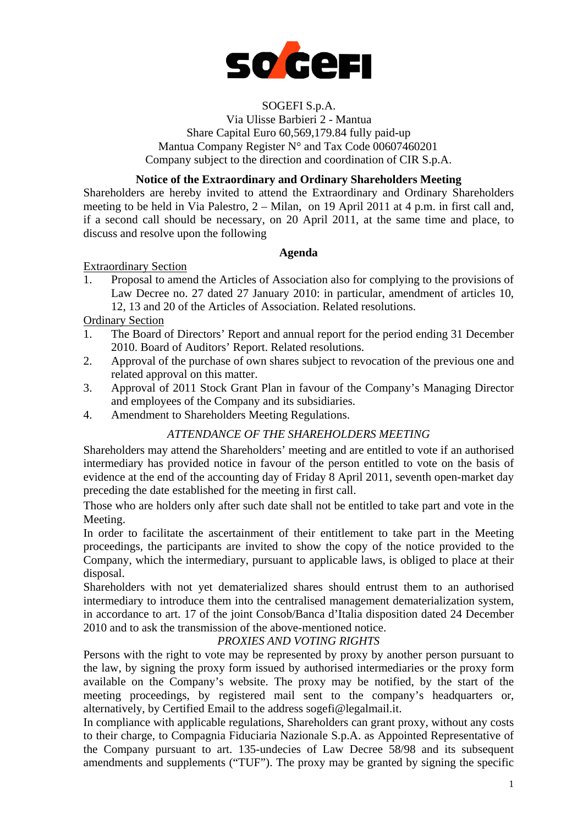

### SOGEFI S.p.A.

Via Ulisse Barbieri 2 - Mantua Share Capital Euro 60,569,179.84 fully paid-up Mantua Company Register N° and Tax Code 00607460201 Company subject to the direction and coordination of CIR S.p.A.

## **Notice of the Extraordinary and Ordinary Shareholders Meeting**

Shareholders are hereby invited to attend the Extraordinary and Ordinary Shareholders meeting to be held in Via Palestro, 2 – Milan, on 19 April 2011 at 4 p.m. in first call and, if a second call should be necessary, on 20 April 2011, at the same time and place, to discuss and resolve upon the following

## **Agenda**

### Extraordinary Section

1. Proposal to amend the Articles of Association also for complying to the provisions of Law Decree no. 27 dated 27 January 2010: in particular, amendment of articles 10, 12, 13 and 20 of the Articles of Association. Related resolutions.

## Ordinary Section

- 1. The Board of Directors' Report and annual report for the period ending 31 December 2010. Board of Auditors' Report. Related resolutions.
- 2. Approval of the purchase of own shares subject to revocation of the previous one and related approval on this matter.
- 3. Approval of 2011 Stock Grant Plan in favour of the Company's Managing Director and employees of the Company and its subsidiaries.
- 4. Amendment to Shareholders Meeting Regulations.

## *ATTENDANCE OF THE SHAREHOLDERS MEETING*

Shareholders may attend the Shareholders' meeting and are entitled to vote if an authorised intermediary has provided notice in favour of the person entitled to vote on the basis of evidence at the end of the accounting day of Friday 8 April 2011, seventh open-market day preceding the date established for the meeting in first call.

Those who are holders only after such date shall not be entitled to take part and vote in the Meeting.

In order to facilitate the ascertainment of their entitlement to take part in the Meeting proceedings, the participants are invited to show the copy of the notice provided to the Company, which the intermediary, pursuant to applicable laws, is obliged to place at their disposal.

Shareholders with not yet dematerialized shares should entrust them to an authorised intermediary to introduce them into the centralised management dematerialization system, in accordance to art. 17 of the joint Consob/Banca d'Italia disposition dated 24 December 2010 and to ask the transmission of the above-mentioned notice.

## *PROXIES AND VOTING RIGHTS*

Persons with the right to vote may be represented by proxy by another person pursuant to the law, by signing the proxy form issued by authorised intermediaries or the proxy form available on the Company's website. The proxy may be notified, by the start of the meeting proceedings, by registered mail sent to the company's headquarters or, alternatively, by Certified Email to the address sogefi@legalmail.it.

In compliance with applicable regulations, Shareholders can grant proxy, without any costs to their charge, to Compagnia Fiduciaria Nazionale S.p.A. as Appointed Representative of the Company pursuant to art. 135-undecies of Law Decree 58/98 and its subsequent amendments and supplements ("TUF"). The proxy may be granted by signing the specific